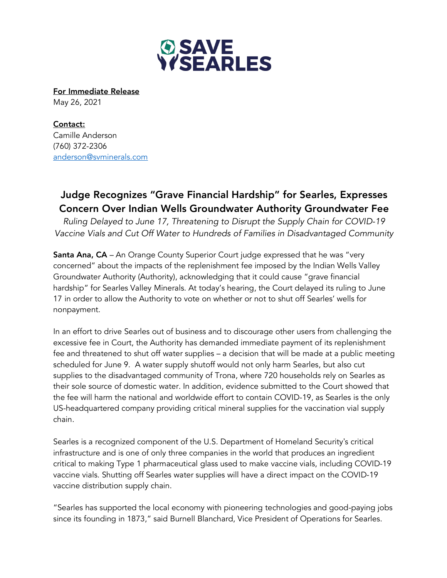

For Immediate Release May 26, 2021

Contact: Camille Anderson (760) 372-2306 anderson@svminerals.com

## Judge Recognizes "Grave Financial Hardship" for Searles, Expresses Concern Over Indian Wells Groundwater Authority Groundwater Fee

*Ruling Delayed to June 17, Threatening to Disrupt the Supply Chain for COVID-19 Vaccine Vials and Cut Off Water to Hundreds of Families in Disadvantaged Community*

Santa Ana, CA – An Orange County Superior Court judge expressed that he was "very concerned" about the impacts of the replenishment fee imposed by the Indian Wells Valley Groundwater Authority (Authority), acknowledging that it could cause "grave financial hardship" for Searles Valley Minerals. At today's hearing, the Court delayed its ruling to June 17 in order to allow the Authority to vote on whether or not to shut off Searles' wells for nonpayment.

In an effort to drive Searles out of business and to discourage other users from challenging the excessive fee in Court, the Authority has demanded immediate payment of its replenishment fee and threatened to shut off water supplies – a decision that will be made at a public meeting scheduled for June 9. A water supply shutoff would not only harm Searles, but also cut supplies to the disadvantaged community of Trona, where 720 households rely on Searles as their sole source of domestic water. In addition, evidence submitted to the Court showed that the fee will harm the national and worldwide effort to contain COVID-19, as Searles is the only US-headquartered company providing critical mineral supplies for the vaccination vial supply chain.

Searles is a recognized component of the U.S. Department of Homeland Security's critical infrastructure and is one of only three companies in the world that produces an ingredient critical to making Type 1 pharmaceutical glass used to make vaccine vials, including COVID-19 vaccine vials. Shutting off Searles water supplies will have a direct impact on the COVID-19 vaccine distribution supply chain.

"Searles has supported the local economy with pioneering technologies and good-paying jobs since its founding in 1873," said Burnell Blanchard, Vice President of Operations for Searles.